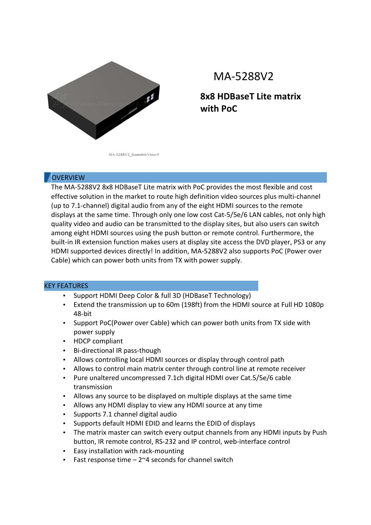

## MA-5288V2

**8x8 HDBaseT Lite matrix with PoC** 

MA-5288V2\_IsometricView-F

## **OVERVIEW**

The MA-5288V2 8x8 HDBaseT Lite matrix with PoC provides the most flexible and cost effective solution in the market to route high definition video sources plus multi-channel (up to 7.1-channel) digital audio from any of the eight HDMI sources to the remote displays at the same time. Through only one low cost Cat-5/5e/6 LAN cables, not only high quality video and audio can be transmitted to the display sites, but also users can switch among eight HDMI sources using the push button or remote control. Furthermore, the built-in IR extension function makes users at display site access the DVD player, PS3 or any HDMI supported devices directly! In addition, MA-5288V2 also supports PoC (Power over Cable) which can power both units from TX with power supply.

## KEY FEATURES

- Support HDMI Deep Color & full 3D (HDBaseT Technology)
- Extend the transmission up to 60m (198ft) from the HDMI source at Full HD 1080p 48-bit
- Support PoC(Power over Cable) which can power both units from TX side with power supply
- HDCP compliant
- Bi-directional IR pass-though
- Allows controlling local HDMI sources or display through control path
- Allows to control main matrix center through control line at remote receiver
- Pure unaltered uncompressed 7.1ch digital HDMI over Cat.5/5e/6 cable transmission
- Allows any source to be displayed on multiple displays at the same time
- Allows any HDMI display to view any HDMI source at any time
- Supports 7.1 channel digital audio
- Supports default HDMI EDID and learns the EDID of displays
- The matrix master can switch every output channels from any HDMI inputs by Push button, IR remote control, RS-232 and IP control, web-interface control
- Easy installation with rack-mounting
- Fast response time  $-2$ <sup> $\sim$ 4</sup> seconds for channel switch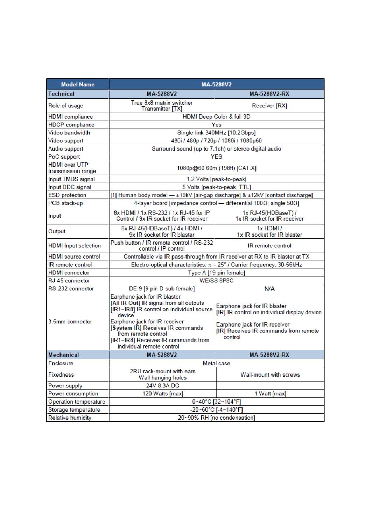| <b>Model Name</b>                          | MA-5288V2                                                                                                                                                                                                                  |                                                                                                                                                        |
|--------------------------------------------|----------------------------------------------------------------------------------------------------------------------------------------------------------------------------------------------------------------------------|--------------------------------------------------------------------------------------------------------------------------------------------------------|
| <b>Technical</b>                           | MA-5288V2                                                                                                                                                                                                                  | <b>MA-5288V2-RX</b>                                                                                                                                    |
| Role of usage                              | True 8x8 matrix switcher<br><b>Transmitter [TX]</b>                                                                                                                                                                        | Receiver [RX]                                                                                                                                          |
| <b>HDMI</b> compliance                     | HDMI Deep Color & full 3D                                                                                                                                                                                                  |                                                                                                                                                        |
| <b>HDCP</b> compliance                     | Yes                                                                                                                                                                                                                        |                                                                                                                                                        |
| Video bandwidth                            | Single-link 340MHz [10.2Gbps]                                                                                                                                                                                              |                                                                                                                                                        |
| Video support                              | 480i / 480p / 720p / 1080i / 1080p60                                                                                                                                                                                       |                                                                                                                                                        |
| Audio support                              | Surround sound (up to 7.1ch) or stereo digital audio                                                                                                                                                                       |                                                                                                                                                        |
| PoC support                                | <b>YES</b>                                                                                                                                                                                                                 |                                                                                                                                                        |
| <b>HDMI</b> over UTP<br>transmission range | 1080p@60 60m (198ft) [CAT.X]                                                                                                                                                                                               |                                                                                                                                                        |
| Input TMDS signal                          | 1.2 Volts [peak-to-peak]                                                                                                                                                                                                   |                                                                                                                                                        |
| Input DDC signal                           | 5 Volts [peak-to-peak, TTL]                                                                                                                                                                                                |                                                                                                                                                        |
| <b>ESD</b> protection                      | [1] Human body model - ±19kV [air-gap discharge] & ±12kV [contact discharge]                                                                                                                                               |                                                                                                                                                        |
| PCB stack-up                               | 4-layer board [impedance control - differential $100\Omega$ ; single $50\Omega$ ]                                                                                                                                          |                                                                                                                                                        |
| Input                                      | 8x HDMI / 1x RS-232 / 1x RJ-45 for IP<br>Control / 9x IR socket for IR receiver                                                                                                                                            | 1x RJ-45(HDBaseT) /<br>1x IR socket for IR receiver                                                                                                    |
| Output                                     | 8x RJ-45(HDBaseT) / 4x HDMI /<br>9x IR socket for IR blaster                                                                                                                                                               | $1x$ HDMI $\prime$<br>1x IR socket for IR blaster                                                                                                      |
| <b>HDMI</b> Input selection                | Push button / IR remote control / RS-232<br>control / IP control                                                                                                                                                           | <b>IR</b> remote control                                                                                                                               |
| <b>HDMI</b> source control                 | Controllable via IR pass-through from IR receiver at RX to IR blaster at TX                                                                                                                                                |                                                                                                                                                        |
| IR remote control                          | Electro-optical characteristics: $\pi$ = 25° / Carrier frequency: 30-56kHz                                                                                                                                                 |                                                                                                                                                        |
| <b>HDMI</b> connector                      | Type A [19-pin female]                                                                                                                                                                                                     |                                                                                                                                                        |
| RJ-45 connector                            | WE/SS 8P8C                                                                                                                                                                                                                 |                                                                                                                                                        |
| RS-232 connector                           | DE-9 [9-pin D-sub female]                                                                                                                                                                                                  | N/A                                                                                                                                                    |
| 3.5mm connector                            | Earphone jack for IR blaster<br>[All IR Out] IR signal from all outputs<br>[IR1~IR8] IR control on individual source<br>device<br>Earphone jack for IR receiver<br>[System IR] Receives IR commands<br>from remote control | Earphone jack for IR blaster<br>[IR] IR control on individual display device<br>Earphone jack for IR receiver<br>[IR] Receives IR commands from remote |
|                                            | [IR1~IR8] Receives IR commands from<br>individual remote control                                                                                                                                                           | control                                                                                                                                                |
| <b>Mechanical</b>                          | MA-5288V2                                                                                                                                                                                                                  | <b>MA-5288V2-RX</b>                                                                                                                                    |
| Enclosure                                  | Metal case                                                                                                                                                                                                                 |                                                                                                                                                        |
| Fixedness                                  | 2RU rack-mount with ears<br>Wall hanging holes                                                                                                                                                                             | Wall-mount with screws                                                                                                                                 |
| Power supply                               | 24V 8.3A DC                                                                                                                                                                                                                |                                                                                                                                                        |
| Power consumption                          | 120 Watts [max]                                                                                                                                                                                                            | 1 Watt [max]                                                                                                                                           |
| Operation temperature                      | 0~40°C [32~104°F]                                                                                                                                                                                                          |                                                                                                                                                        |
| Storage temperature                        | -20~60°C [-4~140°F]                                                                                                                                                                                                        |                                                                                                                                                        |
| <b>Relative humidity</b>                   | 20~90% RH [no condensation]                                                                                                                                                                                                |                                                                                                                                                        |